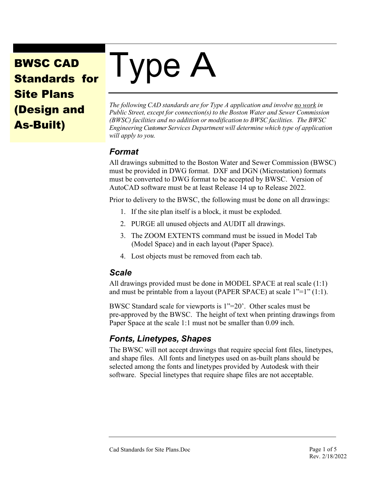## BWSC CAD Standards for Site Plans (Design and As-Built)

# I ype A

*The following CAD standards are for Type A application and involve no work in Public Street, except for connection(s) to the Boston Water and Sewer Commission (BWSC) facilities and no addition or modification to BWSC facilities. The BWSC Engineering Customer Services Department will determine which type of application will apply to you.*

#### *Format*

All drawings submitted to the Boston Water and Sewer Commission (BWSC) must be provided in DWG format. DXF and DGN (Microstation) formats must be converted to DWG format to be accepted by BWSC. Version of AutoCAD software must be at least Release 14 up to Release 2022.

Prior to delivery to the BWSC, the following must be done on all drawings:

- 1. If the site plan itself is a block, it must be exploded.
- 2. PURGE all unused objects and AUDIT all drawings.
- 3. The ZOOM EXTENTS command must be issued in Model Tab (Model Space) and in each layout (Paper Space).
- 4. Lost objects must be removed from each tab.

#### *Scale*

All drawings provided must be done in MODEL SPACE at real scale (1:1) and must be printable from a layout (PAPER SPACE) at scale 1"=1" (1:1).

BWSC Standard scale for viewports is 1"=20'. Other scales must be pre-approved by the BWSC. The height of text when printing drawings from Paper Space at the scale 1:1 must not be smaller than 0.09 inch.

### *Fonts, Linetypes, Shapes*

The BWSC will not accept drawings that require special font files, linetypes, and shape files. All fonts and linetypes used on as-built plans should be selected among the fonts and linetypes provided by Autodesk with their software. Special linetypes that require shape files are not acceptable.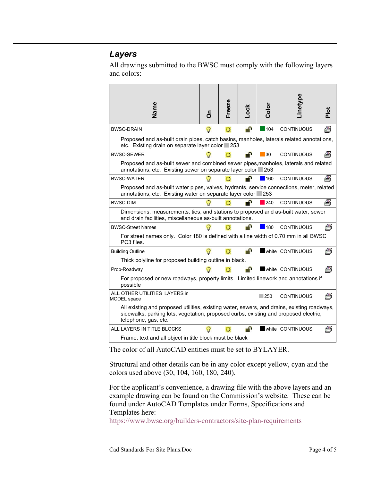#### *Layers*

All drawings submitted to the BWSC must comply with the following layers and colors:

| Vame                                                                                                                                                                                                        | င်္ | Freeze | -ock | Color | inetype           | <u>ior</u> |  |  |
|-------------------------------------------------------------------------------------------------------------------------------------------------------------------------------------------------------------|-----|--------|------|-------|-------------------|------------|--|--|
| <b>BWSC-DRAIN</b>                                                                                                                                                                                           | O   | o      | ≞™   | 104   | <b>CONTINUOUS</b> | Щ          |  |  |
| Proposed and as-built drain pipes, catch basins, manholes, laterals related annotations,<br>etc. Existing drain on separate layer color 253                                                                 |     |        |      |       |                   |            |  |  |
| <b>BWSC-SEWER</b>                                                                                                                                                                                           |     |        | ₽    | 30    | <b>CONTINUOUS</b> | 燕          |  |  |
| Proposed and as-built sewer and combined sewer pipes, manholes, laterals and related<br>annotations, etc. Existing sewer on separate layer color 253                                                        |     |        |      |       |                   |            |  |  |
| <b>BWSC-WATER</b>                                                                                                                                                                                           |     |        |      | 160   | <b>CONTINUOUS</b> | 燕          |  |  |
| Proposed and as-built water pipes, valves, hydrants, service connections, meter, related<br>annotations, etc. Existing water on separate layer color 253                                                    |     |        |      |       |                   |            |  |  |
| <b>BWSC-DIM</b>                                                                                                                                                                                             |     | o      | n    | 240   | <b>CONTINUOUS</b> | Щ          |  |  |
| Dimensions, measurements, ties, and stations to proposed and as-built water, sewer<br>and drain facilities, miscellaneous as-built annotations.                                                             |     |        |      |       |                   |            |  |  |
| <b>BWSC-Street Names</b>                                                                                                                                                                                    |     |        |      | 180   | <b>CONTINUOUS</b> | 碼          |  |  |
| For street names only. Color 180 is defined with a line width of 0.70 mm in all BWSC<br>PC3 files.                                                                                                          |     |        |      |       |                   |            |  |  |
| <b>Building Outline</b>                                                                                                                                                                                     |     | o      | ⅎ    |       | white CONTINUOUS  | Щ          |  |  |
| Thick polyline for proposed building outline in black.                                                                                                                                                      |     |        |      |       |                   |            |  |  |
| Prop-Roadway                                                                                                                                                                                                |     |        |      |       | white CONTINUOUS  | ≝          |  |  |
| For proposed or new roadways, property limits. Limited linework and annotations if<br>possible                                                                                                              |     |        |      |       |                   |            |  |  |
| ALL OTHER UTILITIES LAYERS in<br><b>MODEL</b> space                                                                                                                                                         |     |        |      | 253   | <b>CONTINUOUS</b> | Щ          |  |  |
| All existing and proposed utilities, existing water, sewers, and drains, existing roadways,<br>sidewalks, parking lots, vegetation, proposed curbs, existing and proposed electric,<br>telephone, gas, etc. |     |        |      |       |                   |            |  |  |
| ALL LAYERS IN TITLE BLOCKS                                                                                                                                                                                  |     |        |      |       | white CONTINUOUS  | ≝          |  |  |
| Frame, text and all object in title block must be black                                                                                                                                                     |     |        |      |       |                   |            |  |  |

The color of all AutoCAD entities must be set to BYLAYER.

Structural and other details can be in any color except yellow, cyan and the colors used above (30, 104, 160, 180, 240).

For the applicant's convenience, a drawing file with the above layers and an example drawing can be found on the Commission's website. These can be found under AutoCAD Templates under Forms, Specifications and Templates here:

<https://www.bwsc.org/builders-contractors/site-plan-requirements>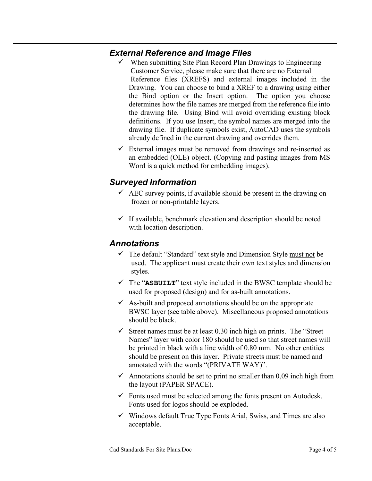#### *External Reference and Image Files*

- $\checkmark$  When submitting Site Plan Record Plan Drawings to Engineering Customer Service, please make sure that there are no External Reference files (XREFS) and external images included in the Drawing. You can choose to bind a XREF to a drawing using either the Bind option or the Insert option. The option you choose determines how the file names are merged from the reference file into the drawing file. Using Bind will avoid overriding existing block definitions. If you use Insert, the symbol names are merged into the drawing file. If duplicate symbols exist, AutoCAD uses the symbols already defined in the current drawing and overrides them.
- $\checkmark$  External images must be removed from drawings and re-inserted as an embedded (OLE) object. (Copying and pasting images from MS Word is a quick method for embedding images).

#### *Surveyed Information*

- $\overrightarrow{AEC}$  survey points, if available should be present in the drawing on frozen or non-printable layers.
- $\checkmark$  If available, benchmark elevation and description should be noted with location description.

#### *Annotations*

- $\checkmark$  The default "Standard" text style and Dimension Style must not be used. The applicant must create their own text styles and dimension styles.
- $\checkmark$  The "ASBUILT" text style included in the BWSC template should be used for proposed (design) and for as-built annotations.
- $\overline{\phantom{a}}$  As-built and proposed annotations should be on the appropriate BWSC layer (see table above). Miscellaneous proposed annotations should be black.
- $\checkmark$  Street names must be at least 0.30 inch high on prints. The "Street" Names" layer with color 180 should be used so that street names will be printed in black with a line width of 0.80 mm. No other entities should be present on this layer. Private streets must be named and annotated with the words "(PRIVATE WAY)".
- $\checkmark$  Annotations should be set to print no smaller than 0,09 inch high from the layout (PAPER SPACE).
- $\checkmark$  Fonts used must be selected among the fonts present on Autodesk. Fonts used for logos should be exploded.
- $\checkmark$  Windows default True Type Fonts Arial, Swiss, and Times are also acceptable.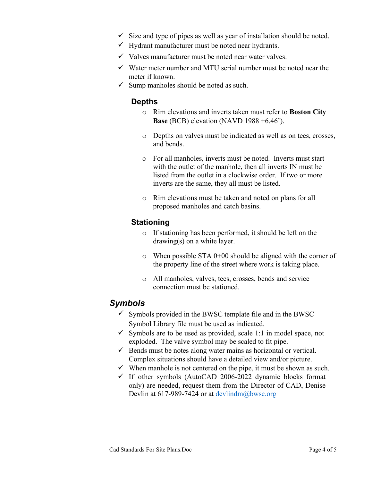- $\checkmark$  Size and type of pipes as well as year of installation should be noted.
- $\checkmark$  Hydrant manufacturer must be noted near hydrants.
- $\checkmark$  Valves manufacturer must be noted near water valves.
- $\checkmark$  Water meter number and MTU serial number must be noted near the meter if known.
- $\checkmark$  Sump manholes should be noted as such.

#### **Depths**

- o Rim elevations and inverts taken must refer to **Boston City Base** (BCB) elevation (NAVD 1988 +6.46').
- o Depths on valves must be indicated as well as on tees, crosses, and bends.
- o For all manholes, inverts must be noted. Inverts must start with the outlet of the manhole, then all inverts IN must be listed from the outlet in a clockwise order. If two or more inverts are the same, they all must be listed.
- o Rim elevations must be taken and noted on plans for all proposed manholes and catch basins.

#### **Stationing**

- o If stationing has been performed, it should be left on the drawing(s) on a white layer.
- $\circ$  When possible STA 0+00 should be aligned with the corner of the property line of the street where work is taking place.
- o All manholes, valves, tees, crosses, bends and service connection must be stationed.

#### *Symbols*

- $\checkmark$  Symbols provided in the BWSC template file and in the BWSC Symbol Library file must be used as indicated.
- $\checkmark$  Symbols are to be used as provided, scale 1:1 in model space, not exploded. The valve symbol may be scaled to fit pipe.
- $\checkmark$  Bends must be notes along water mains as horizontal or vertical. Complex situations should have a detailed view and/or picture.
- $\checkmark$  When manhole is not centered on the pipe, it must be shown as such.
- $\checkmark$  If other symbols (AutoCAD 2006-2022 dynamic blocks format only) are needed, request them from the Director of CAD, Denise Devlin at 617-989-7424 or at [devlindm@bwsc.org](mailto:devlindm@bwsc.org)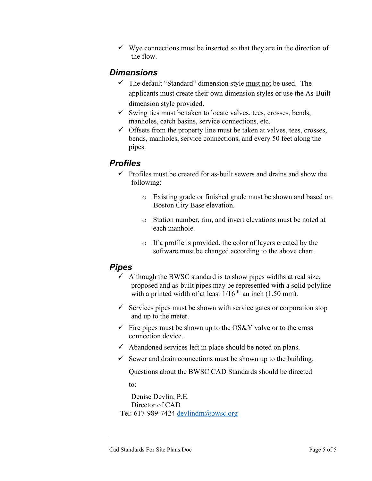$\checkmark$  Wye connections must be inserted so that they are in the direction of the flow.

#### *Dimensions*

- $\checkmark$  The default "Standard" dimension style must not be used. The applicants must create their own dimension styles or use the As-Built dimension style provided.
- $\checkmark$  Swing ties must be taken to locate valves, tees, crosses, bends, manholes, catch basins, service connections, etc.
- $\checkmark$  Offsets from the property line must be taken at valves, tees, crosses, bends, manholes, service connections, and every 50 feet along the pipes.

#### *Profiles*

- $\checkmark$  Profiles must be created for as-built sewers and drains and show the following:
	- o Existing grade or finished grade must be shown and based on Boston City Base elevation.
	- o Station number, rim, and invert elevations must be noted at each manhole.
	- o If a profile is provided, the color of layers created by the software must be changed according to the above chart.

#### *Pipes*

- $\checkmark$  Although the BWSC standard is to show pipes widths at real size, proposed and as-built pipes may be represented with a solid polyline with a printed width of at least  $1/16$ <sup>th</sup> an inch (1.50 mm).
- $\checkmark$  Services pipes must be shown with service gates or corporation stop and up to the meter.
- $\checkmark$  Fire pipes must be shown up to the OS&Y valve or to the cross connection device.
- $\checkmark$  Abandoned services left in place should be noted on plans.
- $\checkmark$  Sewer and drain connections must be shown up to the building.

Questions about the BWSC CAD Standards should be directed

to:

Denise Devlin, P.E. Director of CAD Tel: 617-989-7424 [devlindm@bwsc.org](mailto:devlindm@bwsc.org)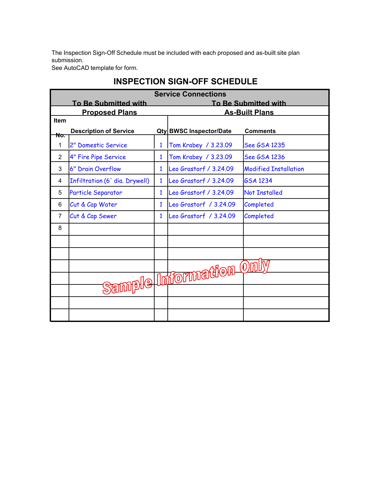The Inspection Sign-Off Schedule must be included with each proposed and as-built site plan submission.

See AutoCAD template for form.

| <b>Service Connections</b> |                                |              |                                |                              |  |  |  |  |
|----------------------------|--------------------------------|--------------|--------------------------------|------------------------------|--|--|--|--|
|                            | <b>To Be Submitted with</b>    |              | <b>To Be Submitted with</b>    |                              |  |  |  |  |
|                            | <b>Proposed Plans</b>          |              |                                | <b>As-Built Plans</b>        |  |  |  |  |
| <b>Item</b>                |                                |              |                                |                              |  |  |  |  |
| No.                        | <b>Description of Service</b>  |              | <b>Qty BWSC Inspector/Date</b> | <b>Comments</b>              |  |  |  |  |
| 1                          | 2" Domestic Service            | $\mathbf{1}$ | Tom Krabey / 3.23.09           | See GSA 1235                 |  |  |  |  |
| $\overline{2}$             | 4" Fire Pipe Service           | $\mathbf{1}$ | Tom Krabey / 3.23.09           | See GSA 1236                 |  |  |  |  |
| 3                          | 6" Drain Overflow              | $\mathbf{1}$ | Leo Grastorf / 3.24.09         | <b>Modified Installation</b> |  |  |  |  |
| 4                          | Infiltration (6' dia. Drywell) | $\mathbf{1}$ | Leo Grastorf / 3.24.09         | <b>GSA 1234</b>              |  |  |  |  |
| 5                          | Particle Separator             | 1            | Leo Grastorf / 3.24.09         | <b>Not Installed</b>         |  |  |  |  |
| 6                          | Cut & Cap Water                | 1            | Leo Grastorf / 3.24.09         | Completed                    |  |  |  |  |
| $\overline{7}$             | Cut & Cap Sewer                | 1            | Leo Grastorf / 3.24.09         | Completed                    |  |  |  |  |
| 8                          |                                |              |                                |                              |  |  |  |  |
|                            |                                |              |                                |                              |  |  |  |  |
|                            |                                |              |                                |                              |  |  |  |  |
|                            |                                |              |                                |                              |  |  |  |  |
|                            |                                |              |                                |                              |  |  |  |  |
|                            |                                |              | Sample Information On          |                              |  |  |  |  |
|                            |                                |              |                                |                              |  |  |  |  |
|                            |                                |              |                                |                              |  |  |  |  |

#### **INSPECTION SIGN-OFF SCHEDULE**